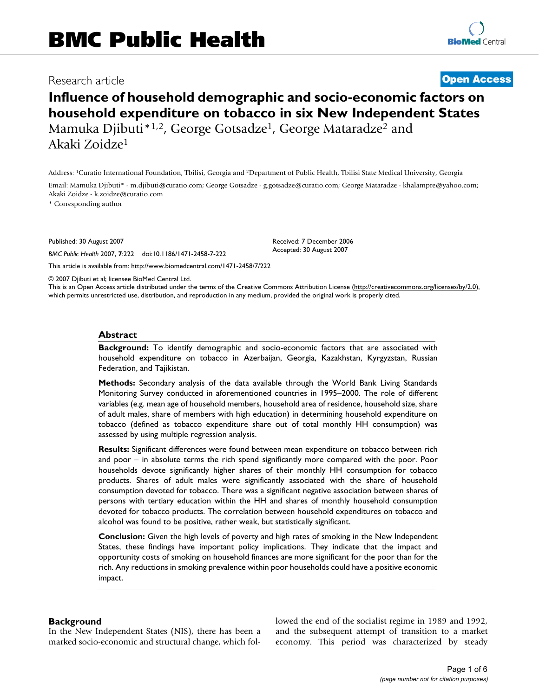## Research article **[Open Access](http://www.biomedcentral.com/info/about/charter/)**

# **Influence of household demographic and socio-economic factors on household expenditure on tobacco in six New Independent States** Mamuka Djibuti\*<sup>1,2</sup>, George Gotsadze<sup>1</sup>, George Mataradze<sup>2</sup> and Akaki Zoidze1

Address: 1Curatio International Foundation, Tbilisi, Georgia and 2Department of Public Health, Tbilisi State Medical University, Georgia

Email: Mamuka Djibuti\* - m.djibuti@curatio.com; George Gotsadze - g.gotsadze@curatio.com; George Mataradze - khalampre@yahoo.com; Akaki Zoidze - k.zoidze@curatio.com

\* Corresponding author

Published: 30 August 2007

*BMC Public Health* 2007, **7**:222 doi:10.1186/1471-2458-7-222

[This article is available from: http://www.biomedcentral.com/1471-2458/7/222](http://www.biomedcentral.com/1471-2458/7/222)

© 2007 Djibuti et al; licensee BioMed Central Ltd.

This is an Open Access article distributed under the terms of the Creative Commons Attribution License [\(http://creativecommons.org/licenses/by/2.0\)](http://creativecommons.org/licenses/by/2.0), which permits unrestricted use, distribution, and reproduction in any medium, provided the original work is properly cited.

Received: 7 December 2006 Accepted: 30 August 2007

#### **Abstract**

**Background:** To identify demographic and socio-economic factors that are associated with household expenditure on tobacco in Azerbaijan, Georgia, Kazakhstan, Kyrgyzstan, Russian Federation, and Tajikistan.

**Methods:** Secondary analysis of the data available through the World Bank Living Standards Monitoring Survey conducted in aforementioned countries in 1995–2000. The role of different variables (e.g. mean age of household members, household area of residence, household size, share of adult males, share of members with high education) in determining household expenditure on tobacco (defined as tobacco expenditure share out of total monthly HH consumption) was assessed by using multiple regression analysis.

**Results:** Significant differences were found between mean expenditure on tobacco between rich and poor – in absolute terms the rich spend significantly more compared with the poor. Poor households devote significantly higher shares of their monthly HH consumption for tobacco products. Shares of adult males were significantly associated with the share of household consumption devoted for tobacco. There was a significant negative association between shares of persons with tertiary education within the HH and shares of monthly household consumption devoted for tobacco products. The correlation between household expenditures on tobacco and alcohol was found to be positive, rather weak, but statistically significant.

**Conclusion:** Given the high levels of poverty and high rates of smoking in the New Independent States, these findings have important policy implications. They indicate that the impact and opportunity costs of smoking on household finances are more significant for the poor than for the rich. Any reductions in smoking prevalence within poor households could have a positive economic impact.

#### **Background**

In the New Independent States (NIS), there has been a marked socio-economic and structural change, which followed the end of the socialist regime in 1989 and 1992, and the subsequent attempt of transition to a market economy. This period was characterized by steady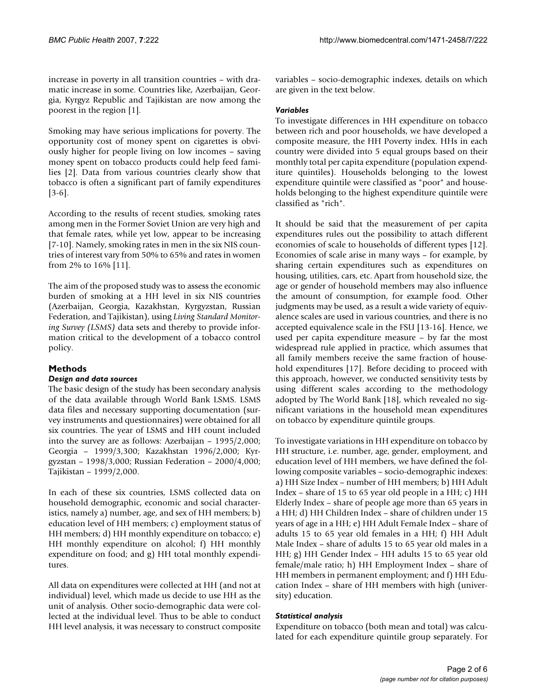increase in poverty in all transition countries – with dramatic increase in some. Countries like, Azerbaijan, Georgia, Kyrgyz Republic and Tajikistan are now among the poorest in the region [1].

Smoking may have serious implications for poverty. The opportunity cost of money spent on cigarettes is obviously higher for people living on low incomes – saving money spent on tobacco products could help feed families [2]. Data from various countries clearly show that tobacco is often a significant part of family expenditures [3-6].

According to the results of recent studies, smoking rates among men in the Former Soviet Union are very high and that female rates, while yet low, appear to be increasing [7-10]. Namely, smoking rates in men in the six NIS countries of interest vary from 50% to 65% and rates in women from 2% to 16% [11].

The aim of the proposed study was to assess the economic burden of smoking at a HH level in six NIS countries (Azerbaijan, Georgia, Kazakhstan, Kyrgyzstan, Russian Federation, and Tajikistan), using *Living Standard Monitoring Survey (LSMS)* data sets and thereby to provide information critical to the development of a tobacco control policy.

#### **Methods**

#### *Design and data sources*

The basic design of the study has been secondary analysis of the data available through World Bank LSMS. LSMS data files and necessary supporting documentation (survey instruments and questionnaires) were obtained for all six countries. The year of LSMS and HH count included into the survey are as follows: Azerbaijan – 1995/2,000; Georgia – 1999/3,300; Kazakhstan 1996/2,000; Kyrgyzstan – 1998/3,000; Russian Federation – 2000/4,000; Tajikistan – 1999/2,000.

In each of these six countries, LSMS collected data on household demographic, economic and social characteristics, namely a) number, age, and sex of HH members; b) education level of HH members; c) employment status of HH members; d) HH monthly expenditure on tobacco; e) HH monthly expenditure on alcohol; f) HH monthly expenditure on food; and g) HH total monthly expenditures.

All data on expenditures were collected at HH (and not at individual) level, which made us decide to use HH as the unit of analysis. Other socio-demographic data were collected at the individual level. Thus to be able to conduct HH level analysis, it was necessary to construct composite variables – socio-demographic indexes, details on which are given in the text below.

#### *Variables*

To investigate differences in HH expenditure on tobacco between rich and poor households, we have developed a composite measure, the HH Poverty index. HHs in each country were divided into 5 equal groups based on their monthly total per capita expenditure (population expenditure quintiles). Households belonging to the lowest expenditure quintile were classified as "poor" and households belonging to the highest expenditure quintile were classified as "rich".

It should be said that the measurement of per capita expenditures rules out the possibility to attach different economies of scale to households of different types [12]. Economies of scale arise in many ways – for example, by sharing certain expenditures such as expenditures on housing, utilities, cars, etc. Apart from household size, the age or gender of household members may also influence the amount of consumption, for example food. Other judgments may be used, as a result a wide variety of equivalence scales are used in various countries, and there is no accepted equivalence scale in the FSU [13-16]. Hence, we used per capita expenditure measure – by far the most widespread rule applied in practice, which assumes that all family members receive the same fraction of household expenditures [17]. Before deciding to proceed with this approach, however, we conducted sensitivity tests by using different scales according to the methodology adopted by The World Bank [18], which revealed no significant variations in the household mean expenditures on tobacco by expenditure quintile groups.

To investigate variations in HH expenditure on tobacco by HH structure, i.e. number, age, gender, employment, and education level of HH members, we have defined the following composite variables – socio-demographic indexes: a) HH Size Index – number of HH members; b) HH Adult Index – share of 15 to 65 year old people in a HH; c) HH Elderly Index – share of people age more than 65 years in a HH; d) HH Children Index – share of children under 15 years of age in a HH; e) HH Adult Female Index – share of adults 15 to 65 year old females in a HH; f) HH Adult Male Index – share of adults 15 to 65 year old males in a HH; g) HH Gender Index – HH adults 15 to 65 year old female/male ratio; h) HH Employment Index – share of HH members in permanent employment; and f) HH Education Index – share of HH members with high (university) education.

#### *Statistical analysis*

Expenditure on tobacco (both mean and total) was calculated for each expenditure quintile group separately. For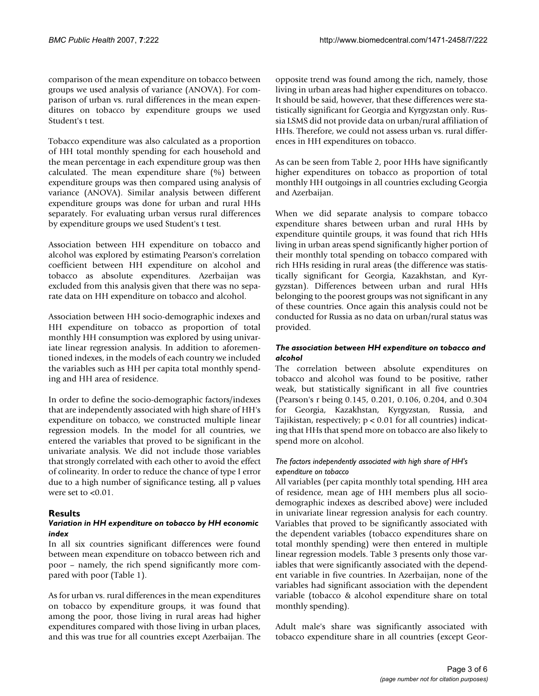comparison of the mean expenditure on tobacco between groups we used analysis of variance (ANOVA). For comparison of urban vs. rural differences in the mean expenditures on tobacco by expenditure groups we used Student's t test.

Tobacco expenditure was also calculated as a proportion of HH total monthly spending for each household and the mean percentage in each expenditure group was then calculated. The mean expenditure share (%) between expenditure groups was then compared using analysis of variance (ANOVA). Similar analysis between different expenditure groups was done for urban and rural HHs separately. For evaluating urban versus rural differences by expenditure groups we used Student's t test.

Association between HH expenditure on tobacco and alcohol was explored by estimating Pearson's correlation coefficient between HH expenditure on alcohol and tobacco as absolute expenditures. Azerbaijan was excluded from this analysis given that there was no separate data on HH expenditure on tobacco and alcohol.

Association between HH socio-demographic indexes and HH expenditure on tobacco as proportion of total monthly HH consumption was explored by using univariate linear regression analysis. In addition to aforementioned indexes, in the models of each country we included the variables such as HH per capita total monthly spending and HH area of residence.

In order to define the socio-demographic factors/indexes that are independently associated with high share of HH's expenditure on tobacco, we constructed multiple linear regression models. In the model for all countries, we entered the variables that proved to be significant in the univariate analysis. We did not include those variables that strongly correlated with each other to avoid the effect of colinearity. In order to reduce the chance of type I error due to a high number of significance testing, all p values were set to  $<0.01$ .

### **Results**

#### *Variation in HH expenditure on tobacco by HH economic index*

In all six countries significant differences were found between mean expenditure on tobacco between rich and poor – namely, the rich spend significantly more compared with poor (Table 1).

As for urban vs. rural differences in the mean expenditures on tobacco by expenditure groups, it was found that among the poor, those living in rural areas had higher expenditures compared with those living in urban places, and this was true for all countries except Azerbaijan. The opposite trend was found among the rich, namely, those living in urban areas had higher expenditures on tobacco. It should be said, however, that these differences were statistically significant for Georgia and Kyrgyzstan only. Russia LSMS did not provide data on urban/rural affiliation of HHs. Therefore, we could not assess urban vs. rural differences in HH expenditures on tobacco.

As can be seen from Table 2, poor HHs have significantly higher expenditures on tobacco as proportion of total monthly HH outgoings in all countries excluding Georgia and Azerbaijan.

When we did separate analysis to compare tobacco expenditure shares between urban and rural HHs by expenditure quintile groups, it was found that rich HHs living in urban areas spend significantly higher portion of their monthly total spending on tobacco compared with rich HHs residing in rural areas (the difference was statistically significant for Georgia, Kazakhstan, and Kyrgyzstan). Differences between urban and rural HHs belonging to the poorest groups was not significant in any of these countries. Once again this analysis could not be conducted for Russia as no data on urban/rural status was provided.

#### *The association between HH expenditure on tobacco and alcohol*

The correlation between absolute expenditures on tobacco and alcohol was found to be positive, rather weak, but statistically significant in all five countries (Pearson's r being 0.145, 0.201, 0.106, 0.204, and 0.304 for Georgia, Kazakhstan, Kyrgyzstan, Russia, and Tajikistan, respectively;  $p < 0.01$  for all countries) indicating that HHs that spend more on tobacco are also likely to spend more on alcohol.

#### *The factors independently associated with high share of HH's expenditure on tobacco*

All variables (per capita monthly total spending, HH area of residence, mean age of HH members plus all sociodemographic indexes as described above) were included in univariate linear regression analysis for each country. Variables that proved to be significantly associated with the dependent variables (tobacco expenditures share on total monthly spending) were then entered in multiple linear regression models. Table 3 presents only those variables that were significantly associated with the dependent variable in five countries. In Azerbaijan, none of the variables had significant association with the dependent variable (tobacco & alcohol expenditure share on total monthly spending).

Adult male's share was significantly associated with tobacco expenditure share in all countries (except Geor-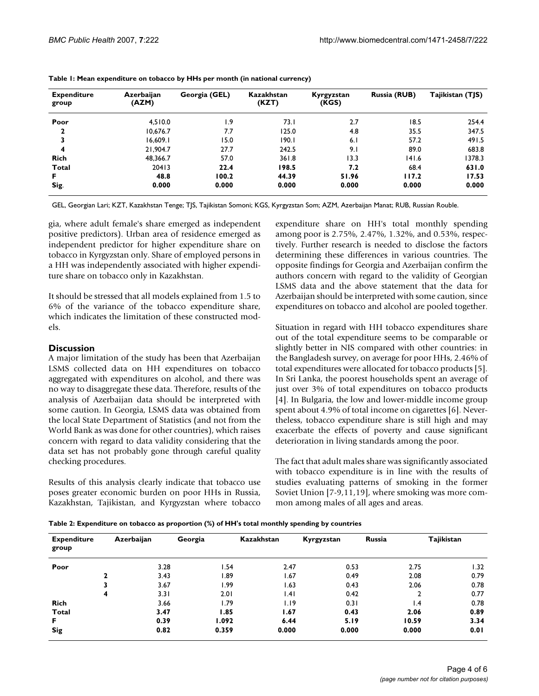| <b>Expenditure</b><br>group | Azerbaijan<br>(AZM) | Georgia (GEL) | Kazakhstan<br>(KZT) | Kyrgyzstan<br>(KGS) | Russia (RUB) | Tajikistan (TJS) |
|-----------------------------|---------------------|---------------|---------------------|---------------------|--------------|------------------|
| Poor                        | 4.510.0             | 1.9           | 73.1                | 2.7                 | 18.5         | 254.4            |
| $\mathbf{z}$                | 10.676.7            | 7.7           | 125.0               | 4.8                 | 35.5         | 347.5            |
| 3                           | 16,609.1            | 15.0          | 190.1               | 6.1                 | 57.2         | 491.5            |
| 4                           | 21.904.7            | 27.7          | 242.5               | 9.1                 | 89.0         | 683.8            |
| <b>Rich</b>                 | 48.366.7            | 57.0          | 361.8               | 13.3                | 141.6        | 1378.3           |
| Total                       | 20413               | 22.4          | 198.5               | 7.2                 | 68.4         | 631.0            |
| F.                          | 48.8                | 100.2         | 44.39               | 51.96               | 117.2        | 17.53            |
| Sig.                        | 0.000               | 0.000         | 0.000               | 0.000               | 0.000        | 0.000            |

**Table 1: Mean expenditure on tobacco by HHs per month (in national currency)**

GEL, Georgian Lari; KZT, Kazakhstan Tenge; TJS, Tajikistan Somoni; KGS, Kyrgyzstan Som; AZM, Azerbaijan Manat; RUB, Russian Rouble.

gia, where adult female's share emerged as independent positive predictors). Urban area of residence emerged as independent predictor for higher expenditure share on tobacco in Kyrgyzstan only. Share of employed persons in a HH was independently associated with higher expenditure share on tobacco only in Kazakhstan.

It should be stressed that all models explained from 1.5 to 6% of the variance of the tobacco expenditure share, which indicates the limitation of these constructed models.

#### **Discussion**

A major limitation of the study has been that Azerbaijan LSMS collected data on HH expenditures on tobacco aggregated with expenditures on alcohol, and there was no way to disaggregate these data. Therefore, results of the analysis of Azerbaijan data should be interpreted with some caution. In Georgia, LSMS data was obtained from the local State Department of Statistics (and not from the World Bank as was done for other countries), which raises concern with regard to data validity considering that the data set has not probably gone through careful quality checking procedures.

Results of this analysis clearly indicate that tobacco use poses greater economic burden on poor HHs in Russia, Kazakhstan, Tajikistan, and Kyrgyzstan where tobacco

expenditure share on HH's total monthly spending among poor is 2.75%, 2.47%, 1.32%, and 0.53%, respectively. Further research is needed to disclose the factors determining these differences in various countries. The opposite findings for Georgia and Azerbaijan confirm the authors concern with regard to the validity of Georgian LSMS data and the above statement that the data for Azerbaijan should be interpreted with some caution, since expenditures on tobacco and alcohol are pooled together.

Situation in regard with HH tobacco expenditures share out of the total expenditure seems to be comparable or slightly better in NIS compared with other countries: in the Bangladesh survey, on average for poor HHs, 2.46% of total expenditures were allocated for tobacco products [5]. In Sri Lanka, the poorest households spent an average of just over 3% of total expenditures on tobacco products [4]. In Bulgaria, the low and lower-middle income group spent about 4.9% of total income on cigarettes [6]. Nevertheless, tobacco expenditure share is still high and may exacerbate the effects of poverty and cause significant deterioration in living standards among the poor.

The fact that adult males share was significantly associated with tobacco expenditure is in line with the results of studies evaluating patterns of smoking in the former Soviet Union [7-9,11,19], where smoking was more common among males of all ages and areas.

|  | Table 2: Expenditure on tobacco as proportion (%) of HH's total monthly spending by countries |
|--|-----------------------------------------------------------------------------------------------|
|  |                                                                                               |

| <b>Expenditure</b><br>group |   | Azerbaijan | Georgia | Kazakhstan | Kyrgyzstan | Russia          | Tajikistan |
|-----------------------------|---|------------|---------|------------|------------|-----------------|------------|
| Poor                        |   | 3.28       | l.54    | 2.47       | 0.53       | 2.75            | 1.32       |
|                             | 7 | 3.43       | l.89    | l.67       | 0.49       | 2.08            | 0.79       |
|                             |   | 3.67       | l.99    | 1.63       | 0.43       | 2.06            | 0.78       |
|                             | 4 | 3.31       | 2.01    | .4         | 0.42       |                 | 0.77       |
| <b>Rich</b>                 |   | 3.66       | l.79    | 1.19       | 0.31       | $\mathsf{I}$ .4 | 0.78       |
| Total                       |   | 3.47       | 1.85    | 1.67       | 0.43       | 2.06            | 0.89       |
| F.                          |   | 0.39       | 1.092   | 6.44       | 5.19       | 10.59           | 3.34       |
| <b>Sig</b>                  |   | 0.82       | 0.359   | 0.000      | 0.000      | 0.000           | 0.01       |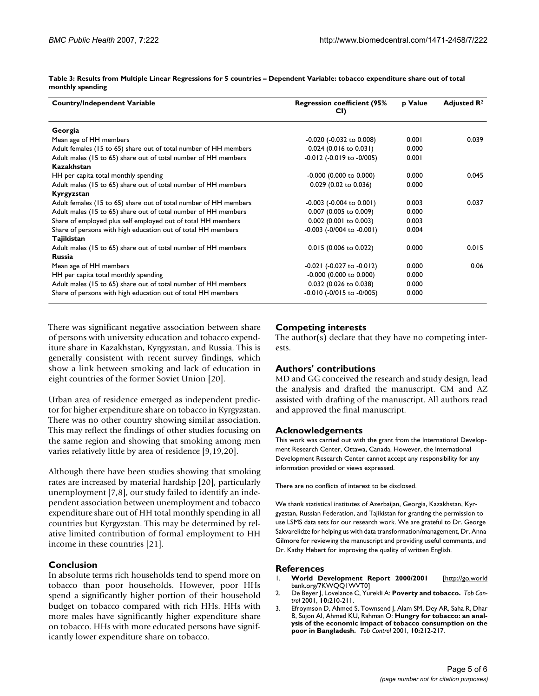| <b>Country/Independent Variable</b>                              | <b>Regression coefficient (95%</b><br>CI) | p Value | Adjusted $\mathbf{R}^2$ |
|------------------------------------------------------------------|-------------------------------------------|---------|-------------------------|
| Georgia                                                          |                                           |         |                         |
| Mean age of HH members                                           | -0.020 (-0.032 to 0.008)                  | 0.001   | 0.039                   |
| Adult females (15 to 65) share out of total number of HH members | $0.024$ (0.016 to 0.031)                  | 0.000   |                         |
| Adult males (15 to 65) share out of total number of HH members   | $-0.012$ ( $-0.019$ to $-0/005$ )         | 0.001   |                         |
| <b>Kazakhstan</b>                                                |                                           |         |                         |
| HH per capita total monthly spending                             | $-0.000$ (0.000 to 0.000)                 | 0.000   | 0.045                   |
| Adult males (15 to 65) share out of total number of HH members   | 0.029 (0.02 to 0.036)                     | 0.000   |                         |
| Kyrgyzstan                                                       |                                           |         |                         |
| Adult females (15 to 65) share out of total number of HH members | $-0.003$ ( $-0.004$ to $0.001$ )          | 0.003   | 0.037                   |
| Adult males (15 to 65) share out of total number of HH members   | 0.007 (0.005 to 0.009)                    | 0.000   |                         |
| Share of employed plus self employed out of total HH members     | $0.002$ (0.001 to 0.003)                  | 0.003   |                         |
| Share of persons with high education out of total HH members     | $-0.003$ ( $-0/004$ to $-0.001$ )         | 0.004   |                         |
| Tajikistan                                                       |                                           |         |                         |
| Adult males (15 to 65) share out of total number of HH members   | 0.015 (0.006 to 0.022)                    | 0.000   | 0.015                   |
| <b>Russia</b>                                                    |                                           |         |                         |
| Mean age of HH members                                           | $-0.021$ ( $-0.027$ to $-0.012$ )         | 0.000   | 0.06                    |
| HH per capita total monthly spending                             | $-0.000$ (0.000 to 0.000)                 | 0.000   |                         |
| Adult males (15 to 65) share out of total number of HH members   | 0.032 (0.026 to 0.038)                    | 0.000   |                         |
| Share of persons with high education out of total HH members     | $-0.010$ $(-0/015$ to $-0/005)$           | 0.000   |                         |

**Table 3: Results from Multiple Linear Regressions for 5 countries – Dependent Variable: tobacco expenditure share out of total monthly spending**

There was significant negative association between share of persons with university education and tobacco expenditure share in Kazakhstan, Kyrgyzstan, and Russia. This is generally consistent with recent survey findings, which show a link between smoking and lack of education in eight countries of the former Soviet Union [20].

Urban area of residence emerged as independent predictor for higher expenditure share on tobacco in Kyrgyzstan. There was no other country showing similar association. This may reflect the findings of other studies focusing on the same region and showing that smoking among men varies relatively little by area of residence [9,19,20].

Although there have been studies showing that smoking rates are increased by material hardship [20], particularly unemployment [7,8], our study failed to identify an independent association between unemployment and tobacco expenditure share out of HH total monthly spending in all countries but Kyrgyzstan. This may be determined by relative limited contribution of formal employment to HH income in these countries [21].

#### **Conclusion**

In absolute terms rich households tend to spend more on tobacco than poor households. However, poor HHs spend a significantly higher portion of their household budget on tobacco compared with rich HHs. HHs with more males have significantly higher expenditure share on tobacco. HHs with more educated persons have significantly lower expenditure share on tobacco.

#### **Competing interests**

The author(s) declare that they have no competing interests.

#### **Authors' contributions**

MD and GG conceived the research and study design, lead the analysis and drafted the manuscript. GM and AZ assisted with drafting of the manuscript. All authors read and approved the final manuscript.

#### **Acknowledgements**

This work was carried out with the grant from the International Development Research Center, Ottawa, Canada. However, the International Development Research Center cannot accept any responsibility for any information provided or views expressed.

There are no conflicts of interest to be disclosed.

We thank statistical institutes of Azerbaijan, Georgia, Kazakhstan, Kyrgyzstan, Russian Federation, and Tajikistan for granting the permission to use LSMS data sets for our research work. We are grateful to Dr. George Sakvarelidze for helping us with data transformation/management, Dr. Anna Gilmore for reviewing the manuscript and providing useful comments, and Dr. Kathy Hebert for improving the quality of written English.

#### **References**

- 1. **World Development Report 2000/2001** [[http://go.world](http://go.worldbank.org/7KWQQ1WVT0) [bank.org/7KWQQ1WVT0](http://go.worldbank.org/7KWQQ1WVT0)]
- 2. De Beyer J, Lovelance C, Yurekli A: **[Poverty and tobacco.](http://www.ncbi.nlm.nih.gov/entrez/query.fcgi?cmd=Retrieve&db=PubMed&dopt=Abstract&list_uids=11544382)** *Tob Control* 2001, **10:**210-211.
- 3. Efroymson D, Ahmed S, Townsend J, Alam SM, Dey AR, Saha R, Dhar B, Sujon AI, Ahmed KU, Rahman O: **[Hungry for tobacco: an anal](http://www.ncbi.nlm.nih.gov/entrez/query.fcgi?cmd=Retrieve&db=PubMed&dopt=Abstract&list_uids=11544383)[ysis of the economic impact of tobacco consumption on the](http://www.ncbi.nlm.nih.gov/entrez/query.fcgi?cmd=Retrieve&db=PubMed&dopt=Abstract&list_uids=11544383) [poor in Bangladesh.](http://www.ncbi.nlm.nih.gov/entrez/query.fcgi?cmd=Retrieve&db=PubMed&dopt=Abstract&list_uids=11544383)** *Tob Control* 2001, **10:**212-217.